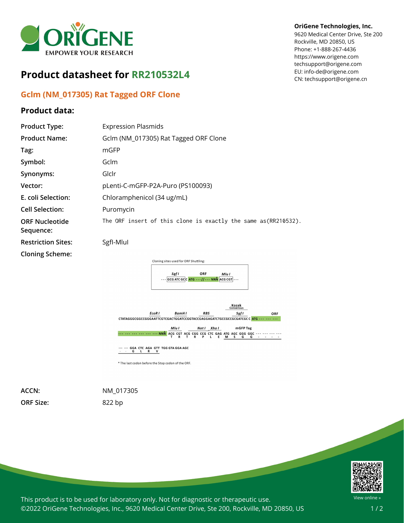

## **Product datasheet for RR210532L4**

## **Gclm (NM\_017305) Rat Tagged ORF Clone**

## **Product data:**

## **OriGene Technologies, Inc.**

9620 Medical Center Drive, Ste 200 Rockville, MD 20850, US Phone: +1-888-267-4436 https://www.origene.com techsupport@origene.com EU: info-de@origene.com CN: techsupport@origene.cn

| <b>Product Type:</b>               | <b>Expression Plasmids</b>                                                                                                               |
|------------------------------------|------------------------------------------------------------------------------------------------------------------------------------------|
| <b>Product Name:</b>               | Gclm (NM_017305) Rat Tagged ORF Clone                                                                                                    |
| Tag:                               | mGFP                                                                                                                                     |
| Symbol:                            | Gclm                                                                                                                                     |
| Synonyms:                          | Glclr                                                                                                                                    |
| Vector:                            | pLenti-C-mGFP-P2A-Puro (PS100093)                                                                                                        |
| E. coli Selection:                 | Chloramphenicol (34 ug/mL)                                                                                                               |
| <b>Cell Selection:</b>             | Puromycin                                                                                                                                |
| <b>ORF Nucleotide</b><br>Sequence: | The ORF insert of this clone is exactly the same as(RR210532).                                                                           |
| <b>Restriction Sites:</b>          | Sgfl-Mlul                                                                                                                                |
| <b>Cloning Scheme:</b>             | Cloning sites used for ORF Shuttling:<br>ORF<br>Sgf I<br>Mlu I<br>$ GCG\textrm{ATC}GC C\textrm{ATG}$ - - - // - - - NNN $ AGGCGT $ - - - |



\* The last codon before the Stop codon of the ORF.

**ORF Size:** 822 bp

**ACCN:** NM\_017305



This product is to be used for laboratory only. Not for diagnostic or therapeutic use. ©2022 OriGene Technologies, Inc., 9620 Medical Center Drive, Ste 200, Rockville, MD 20850, US